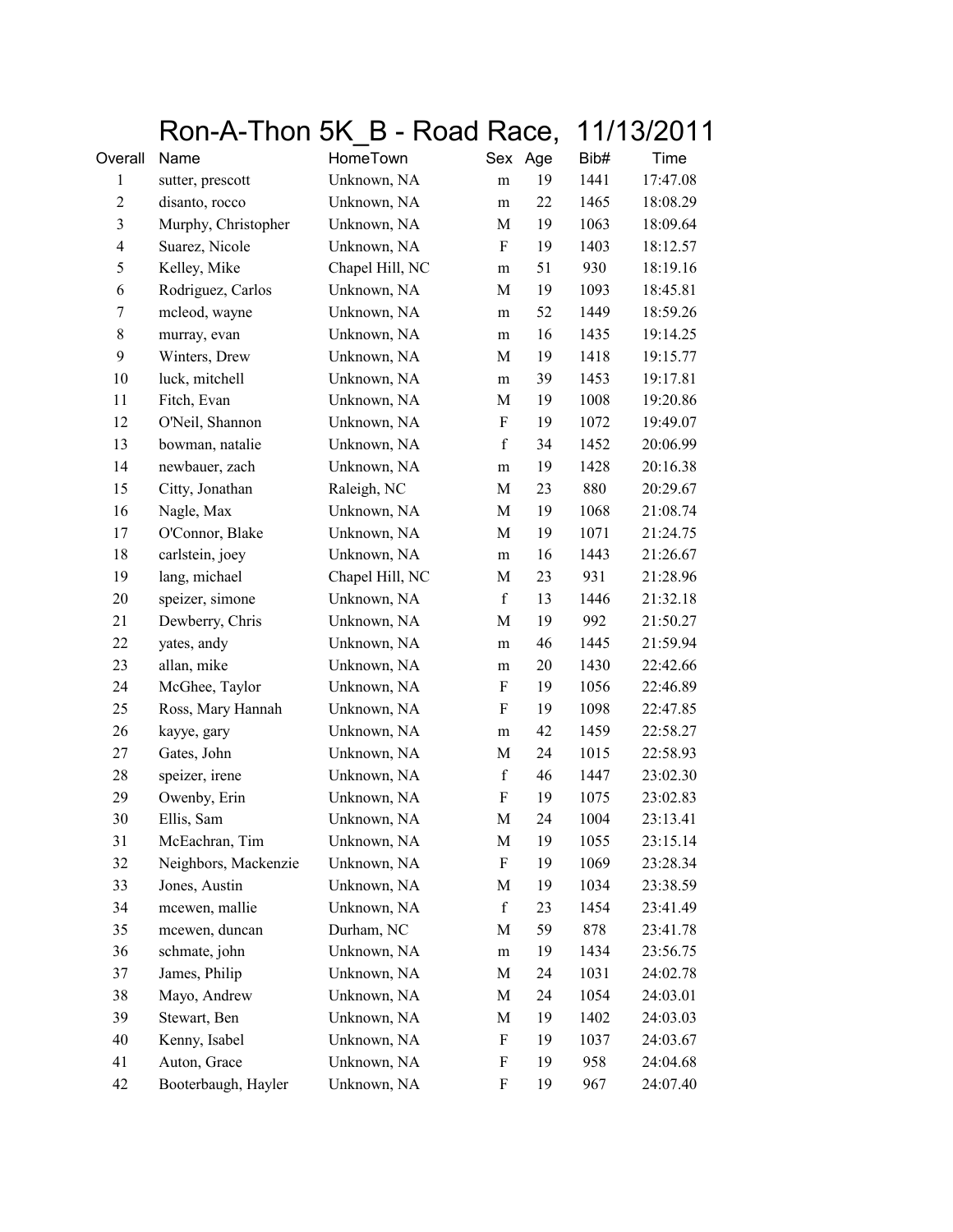|                          |                      | Ron-A-Thon 5K B - Road Race, |                   | 11/13/2011       |
|--------------------------|----------------------|------------------------------|-------------------|------------------|
| Overall                  | Name                 | HomeTown                     | Sex Age           | Bib#<br>Time     |
| 1                        | sutter, prescott     | Unknown, NA                  | 19<br>m           | 1441<br>17:47.08 |
| $\overline{c}$           | disanto, rocco       | Unknown, NA                  | 22<br>m           | 1465<br>18:08.29 |
| 3                        | Murphy, Christopher  | Unknown, NA                  | 19<br>M           | 1063<br>18:09.64 |
| $\overline{\mathcal{A}}$ | Suarez, Nicole       | Unknown, NA                  | 19<br>F           | 1403<br>18:12.57 |
| 5                        | Kelley, Mike         | Chapel Hill, NC              | 51<br>m           | 930<br>18:19.16  |
| 6                        | Rodriguez, Carlos    | Unknown, NA                  | 19<br>M           | 18:45.81<br>1093 |
| 7                        | mcleod, wayne        | Unknown, NA                  | 52<br>m           | 1449<br>18:59.26 |
| 8                        | murray, evan         | Unknown, NA                  | 16<br>m           | 1435<br>19:14.25 |
| 9                        | Winters, Drew        | Unknown, NA                  | 19<br>M           | 1418<br>19:15.77 |
| 10                       | luck, mitchell       | Unknown, NA                  | 39<br>m           | 1453<br>19:17.81 |
| 11                       | Fitch, Evan          | Unknown, NA                  | 19<br>M           | 1008<br>19:20.86 |
| 12                       | O'Neil, Shannon      | Unknown, NA                  | 19<br>F           | 19:49.07<br>1072 |
| 13                       | bowman, natalie      | Unknown, NA                  | $\mathbf f$<br>34 | 1452<br>20:06.99 |
| 14                       | newbauer, zach       | Unknown, NA                  | 19<br>m           | 1428<br>20:16.38 |
| 15                       | Citty, Jonathan      | Raleigh, NC                  | 23<br>M           | 880<br>20:29.67  |
| 16                       | Nagle, Max           | Unknown, NA                  | 19<br>M           | 1068<br>21:08.74 |
| 17                       | O'Connor, Blake      | Unknown, NA                  | 19<br>M           | 1071<br>21:24.75 |
| 18                       | carlstein, joey      | Unknown, NA                  | 16<br>m           | 1443<br>21:26.67 |
| 19                       | lang, michael        | Chapel Hill, NC              | 23<br>M           | 931<br>21:28.96  |
| 20                       | speizer, simone      | Unknown, NA                  | $\mathbf f$<br>13 | 1446<br>21:32.18 |
| 21                       | Dewberry, Chris      | Unknown, NA                  | 19<br>M           | 992<br>21:50.27  |
| 22                       | yates, andy          | Unknown, NA                  | 46<br>m           | 1445<br>21:59.94 |
| 23                       | allan, mike          | Unknown, NA                  | 20<br>m           | 1430<br>22:42.66 |
| 24                       | McGhee, Taylor       | Unknown, NA                  | 19<br>F           | 1056<br>22:46.89 |
| 25                       | Ross, Mary Hannah    | Unknown, NA                  | F<br>19           | 1098<br>22:47.85 |
| 26                       | kayye, gary          | Unknown, NA                  | 42<br>m           | 22:58.27<br>1459 |
| 27                       | Gates, John          | Unknown, NA                  | 24<br>M           | 1015<br>22:58.93 |
| 28                       | speizer, irene       | Unknown, NA                  | $\mathbf f$<br>46 | 23:02.30<br>1447 |
| 29                       | Owenby, Erin         | Unknown, NA                  | F<br>19           | 1075<br>23:02.83 |
| 30                       | Ellis, Sam           | Unknown, NA                  | $\mathbf M$<br>24 | 1004<br>23:13.41 |
| 31                       | McEachran, Tim       | Unknown, NA                  | 19<br>M           | 1055<br>23:15.14 |
| 32                       | Neighbors, Mackenzie | Unknown, NA                  | 19<br>F           | 1069<br>23:28.34 |
| 33                       | Jones, Austin        | Unknown, NA                  | M<br>19           | 1034<br>23:38.59 |
| 34                       | mcewen, mallie       | Unknown, NA                  | $\mathbf f$<br>23 | 1454<br>23:41.49 |
| 35                       | mcewen, duncan       | Durham, NC                   | 59<br>M           | 878<br>23:41.78  |
| 36                       | schmate, john        | Unknown, NA                  | 19<br>m           | 1434<br>23:56.75 |
| 37                       | James, Philip        | Unknown, NA                  | 24<br>M           | 1031<br>24:02.78 |
| 38                       | Mayo, Andrew         | Unknown, NA                  | 24<br>M           | 1054<br>24:03.01 |
| 39                       | Stewart, Ben         | Unknown, NA                  | 19<br>M           | 1402<br>24:03.03 |
| 40                       | Kenny, Isabel        | Unknown, NA                  | 19<br>F           | 1037<br>24:03.67 |
| 41                       | Auton, Grace         | Unknown, NA                  | F<br>19           | 958<br>24:04.68  |
| 42                       | Booterbaugh, Hayler  | Unknown, NA                  | F<br>19           | 967<br>24:07.40  |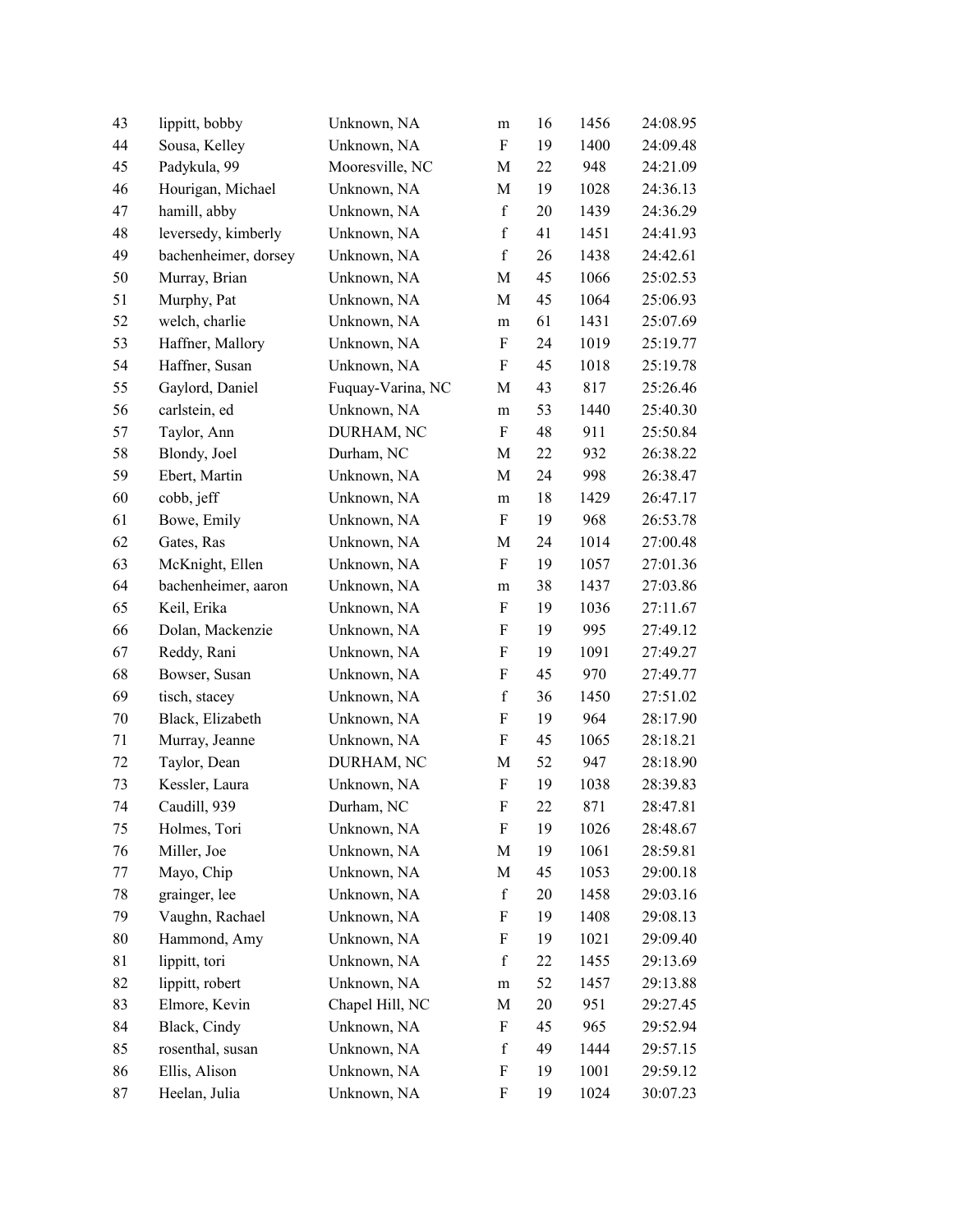| 43 | lippitt, bobby       | Unknown, NA       | m                         | 16 | 1456 | 24:08.95 |
|----|----------------------|-------------------|---------------------------|----|------|----------|
| 44 | Sousa, Kelley        | Unknown, NA       | $\boldsymbol{\mathrm{F}}$ | 19 | 1400 | 24:09.48 |
| 45 | Padykula, 99         | Mooresville, NC   | M                         | 22 | 948  | 24:21.09 |
| 46 | Hourigan, Michael    | Unknown, NA       | M                         | 19 | 1028 | 24:36.13 |
| 47 | hamill, abby         | Unknown, NA       | $\mathbf f$               | 20 | 1439 | 24:36.29 |
| 48 | leversedy, kimberly  | Unknown, NA       | $\mathbf f$               | 41 | 1451 | 24:41.93 |
| 49 | bachenheimer, dorsey | Unknown, NA       | $\mathbf f$               | 26 | 1438 | 24:42.61 |
| 50 | Murray, Brian        | Unknown, NA       | M                         | 45 | 1066 | 25:02.53 |
| 51 | Murphy, Pat          | Unknown, NA       | M                         | 45 | 1064 | 25:06.93 |
| 52 | welch, charlie       | Unknown, NA       | ${\rm m}$                 | 61 | 1431 | 25:07.69 |
| 53 | Haffner, Mallory     | Unknown, NA       | F                         | 24 | 1019 | 25:19.77 |
| 54 | Haffner, Susan       | Unknown, NA       | F                         | 45 | 1018 | 25:19.78 |
| 55 | Gaylord, Daniel      | Fuquay-Varina, NC | M                         | 43 | 817  | 25:26.46 |
| 56 | carlstein, ed        | Unknown, NA       | ${\rm m}$                 | 53 | 1440 | 25:40.30 |
| 57 | Taylor, Ann          | DURHAM, NC        | $\boldsymbol{\mathrm{F}}$ | 48 | 911  | 25:50.84 |
| 58 | Blondy, Joel         | Durham, NC        | M                         | 22 | 932  | 26:38.22 |
| 59 | Ebert, Martin        | Unknown, NA       | M                         | 24 | 998  | 26:38.47 |
| 60 | cobb, jeff           | Unknown, NA       | ${\rm m}$                 | 18 | 1429 | 26:47.17 |
| 61 | Bowe, Emily          | Unknown, NA       | F                         | 19 | 968  | 26:53.78 |
| 62 | Gates, Ras           | Unknown, NA       | M                         | 24 | 1014 | 27:00.48 |
| 63 | McKnight, Ellen      | Unknown, NA       | F                         | 19 | 1057 | 27:01.36 |
| 64 | bachenheimer, aaron  | Unknown, NA       | ${\bf m}$                 | 38 | 1437 | 27:03.86 |
| 65 | Keil, Erika          | Unknown, NA       | F                         | 19 | 1036 | 27:11.67 |
| 66 | Dolan, Mackenzie     | Unknown, NA       | F                         | 19 | 995  | 27:49.12 |
| 67 | Reddy, Rani          | Unknown, NA       | $\boldsymbol{\mathrm{F}}$ | 19 | 1091 | 27:49.27 |
| 68 | Bowser, Susan        | Unknown, NA       | $\boldsymbol{\mathrm{F}}$ | 45 | 970  | 27:49.77 |
| 69 | tisch, stacey        | Unknown, NA       | $\mathbf f$               | 36 | 1450 | 27:51.02 |
| 70 | Black, Elizabeth     | Unknown, NA       | ${\bf F}$                 | 19 | 964  | 28:17.90 |
| 71 | Murray, Jeanne       | Unknown, NA       | F                         | 45 | 1065 | 28:18.21 |
| 72 | Taylor, Dean         | DURHAM, NC        | M                         | 52 | 947  | 28:18.90 |
| 73 | Kessler, Laura       | Unknown, NA       | ${\bf F}$                 | 19 | 1038 | 28:39.83 |
| 74 | Caudill, 939         | Durham, NC        | F                         | 22 | 871  | 28:47.81 |
| 75 | Holmes, Tori         | Unknown, NA       | F                         | 19 | 1026 | 28:48.67 |
| 76 | Miller, Joe          | Unknown, NA       | M                         | 19 | 1061 | 28:59.81 |
| 77 | Mayo, Chip           | Unknown, NA       | M                         | 45 | 1053 | 29:00.18 |
| 78 | grainger, lee        | Unknown, NA       | $\mathbf f$               | 20 | 1458 | 29:03.16 |
| 79 | Vaughn, Rachael      | Unknown, NA       | F                         | 19 | 1408 | 29:08.13 |
| 80 | Hammond, Amy         | Unknown, NA       | F                         | 19 | 1021 | 29:09.40 |
| 81 | lippitt, tori        | Unknown, NA       | $\mathbf f$               | 22 | 1455 | 29:13.69 |
| 82 | lippitt, robert      | Unknown, NA       | ${\rm m}$                 | 52 | 1457 | 29:13.88 |
| 83 | Elmore, Kevin        | Chapel Hill, NC   | M                         | 20 | 951  | 29:27.45 |
| 84 | Black, Cindy         | Unknown, NA       | F                         | 45 | 965  | 29:52.94 |
| 85 | rosenthal, susan     | Unknown, NA       | f                         | 49 | 1444 | 29:57.15 |
| 86 | Ellis, Alison        | Unknown, NA       | F                         | 19 | 1001 | 29:59.12 |
| 87 | Heelan, Julia        | Unknown, NA       | $\boldsymbol{\mathrm{F}}$ | 19 | 1024 | 30:07.23 |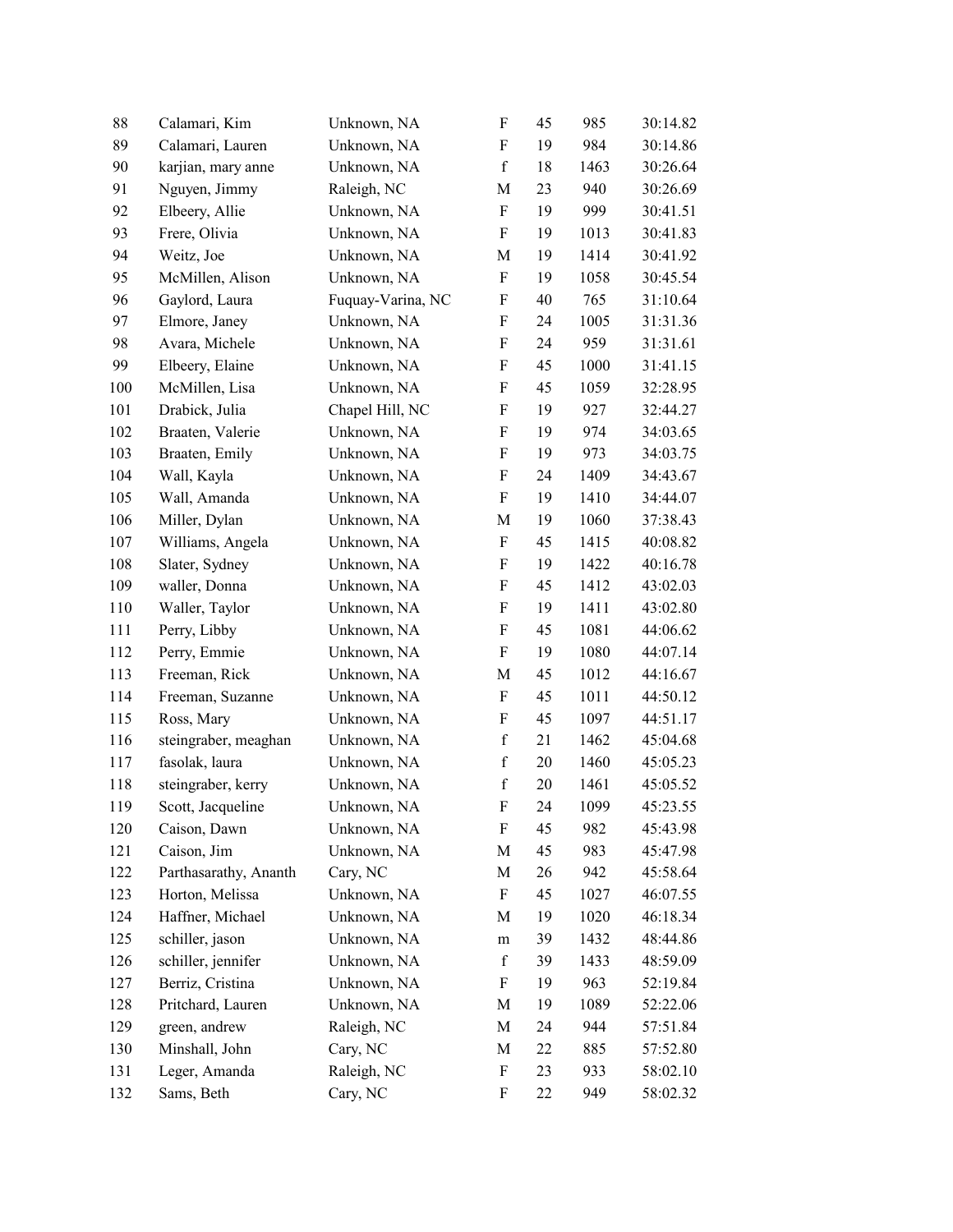| 88  | Calamari, Kim         | Unknown, NA       | $\boldsymbol{\mathrm{F}}$ | 45     | 985  | 30:14.82 |
|-----|-----------------------|-------------------|---------------------------|--------|------|----------|
| 89  | Calamari, Lauren      | Unknown, NA       | $\boldsymbol{\mathrm{F}}$ | 19     | 984  | 30:14.86 |
| 90  | karjian, mary anne    | Unknown, NA       | $\mathbf f$               | 18     | 1463 | 30:26.64 |
| 91  | Nguyen, Jimmy         | Raleigh, NC       | M                         | 23     | 940  | 30:26.69 |
| 92  | Elbeery, Allie        | Unknown, NA       | $\boldsymbol{\mathrm{F}}$ | 19     | 999  | 30:41.51 |
| 93  | Frere, Olivia         | Unknown, NA       | $\rm F$                   | 19     | 1013 | 30:41.83 |
| 94  | Weitz, Joe            | Unknown, NA       | M                         | 19     | 1414 | 30:41.92 |
| 95  | McMillen, Alison      | Unknown, NA       | $\boldsymbol{\mathrm{F}}$ | 19     | 1058 | 30:45.54 |
| 96  | Gaylord, Laura        | Fuquay-Varina, NC | $\boldsymbol{\mathrm{F}}$ | 40     | 765  | 31:10.64 |
| 97  | Elmore, Janey         | Unknown, NA       | F                         | 24     | 1005 | 31:31.36 |
| 98  | Avara, Michele        | Unknown, NA       | $\boldsymbol{\mathrm{F}}$ | 24     | 959  | 31:31.61 |
| 99  | Elbeery, Elaine       | Unknown, NA       | $\boldsymbol{\mathrm{F}}$ | 45     | 1000 | 31:41.15 |
| 100 | McMillen, Lisa        | Unknown, NA       | F                         | 45     | 1059 | 32:28.95 |
| 101 | Drabick, Julia        | Chapel Hill, NC   | F                         | 19     | 927  | 32:44.27 |
| 102 | Braaten, Valerie      | Unknown, NA       | $\boldsymbol{\mathrm{F}}$ | 19     | 974  | 34:03.65 |
| 103 | Braaten, Emily        | Unknown, NA       | $\boldsymbol{\mathrm{F}}$ | 19     | 973  | 34:03.75 |
| 104 | Wall, Kayla           | Unknown, NA       | $\boldsymbol{\mathrm{F}}$ | 24     | 1409 | 34:43.67 |
| 105 | Wall, Amanda          | Unknown, NA       | F                         | 19     | 1410 | 34:44.07 |
| 106 | Miller, Dylan         | Unknown, NA       | M                         | 19     | 1060 | 37:38.43 |
| 107 | Williams, Angela      | Unknown, NA       | $\boldsymbol{\mathrm{F}}$ | 45     | 1415 | 40:08.82 |
| 108 | Slater, Sydney        | Unknown, NA       | F                         | 19     | 1422 | 40:16.78 |
| 109 | waller, Donna         | Unknown, NA       | $\boldsymbol{\mathrm{F}}$ | 45     | 1412 | 43:02.03 |
| 110 | Waller, Taylor        | Unknown, NA       | $\boldsymbol{\mathrm{F}}$ | 19     | 1411 | 43:02.80 |
| 111 | Perry, Libby          | Unknown, NA       | F                         | 45     | 1081 | 44:06.62 |
| 112 | Perry, Emmie          | Unknown, NA       | F                         | 19     | 1080 | 44:07.14 |
| 113 | Freeman, Rick         | Unknown, NA       | M                         | 45     | 1012 | 44:16.67 |
| 114 | Freeman, Suzanne      | Unknown, NA       | F                         | 45     | 1011 | 44:50.12 |
| 115 | Ross, Mary            | Unknown, NA       | $\boldsymbol{\mathrm{F}}$ | 45     | 1097 | 44:51.17 |
| 116 | steingraber, meaghan  | Unknown, NA       | $\mathbf f$               | 21     | 1462 | 45:04.68 |
| 117 | fasolak, laura        | Unknown, NA       | $\mathbf f$               | 20     | 1460 | 45:05.23 |
| 118 | steingraber, kerry    | Unknown, NA       | $\mathbf f$               | $20\,$ | 1461 | 45:05.52 |
| 119 | Scott, Jacqueline     | Unknown, NA       | F                         | 24     | 1099 | 45:23.55 |
| 120 | Caison, Dawn          | Unknown, NA       | F                         | 45     | 982  | 45:43.98 |
| 121 | Caison, Jim           | Unknown, NA       | M                         | 45     | 983  | 45:47.98 |
| 122 | Parthasarathy, Ananth | Cary, NC          | M                         | 26     | 942  | 45:58.64 |
| 123 | Horton, Melissa       | Unknown, NA       | $\boldsymbol{\mathrm{F}}$ | 45     | 1027 | 46:07.55 |
| 124 | Haffner, Michael      | Unknown, NA       | M                         | 19     | 1020 | 46:18.34 |
| 125 | schiller, jason       | Unknown, NA       | m                         | 39     | 1432 | 48:44.86 |
| 126 | schiller, jennifer    | Unknown, NA       | $\mathbf f$               | 39     | 1433 | 48:59.09 |
| 127 | Berriz, Cristina      | Unknown, NA       | F                         | 19     | 963  | 52:19.84 |
| 128 | Pritchard, Lauren     | Unknown, NA       | M                         | 19     | 1089 | 52:22.06 |
| 129 | green, andrew         | Raleigh, NC       | M                         | 24     | 944  | 57:51.84 |
| 130 | Minshall, John        | Cary, NC          | M                         | 22     | 885  | 57:52.80 |
| 131 | Leger, Amanda         | Raleigh, NC       | $\boldsymbol{\mathrm{F}}$ | 23     | 933  | 58:02.10 |
| 132 | Sams, Beth            | Cary, NC          | $\boldsymbol{\mathrm{F}}$ | 22     | 949  | 58:02.32 |